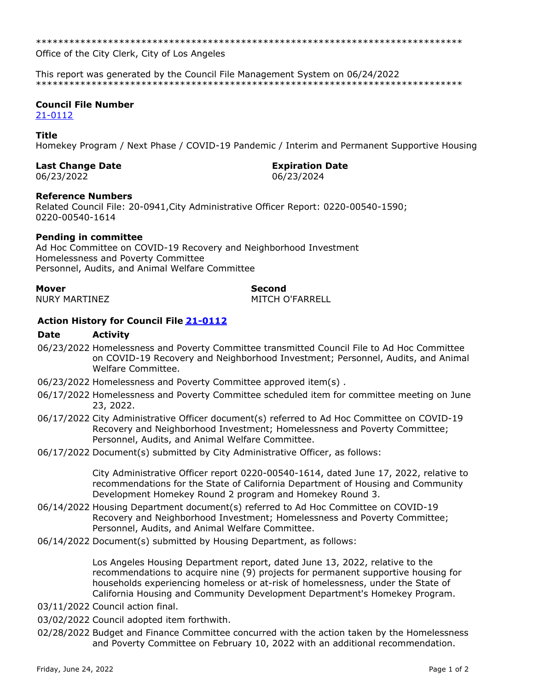Office of the City Clerk, City of Los Angeles

This report was generated by the Council File Management System on 06/24/2022 

# **Council File Number**

 $21 - 0112$ 

#### **Title**

Homekey Program / Next Phase / COVID-19 Pandemic / Interim and Permanent Supportive Housing

### **Last Change Date**

06/23/2022

### **Expiration Date**

06/23/2024

### **Reference Numbers**

Related Council File: 20-0941, City Administrative Officer Report: 0220-00540-1590; 0220-00540-1614

### **Pending in committee**

Ad Hoc Committee on COVID-19 Recovery and Neighborhood Investment Homelessness and Poverty Committee Personnel, Audits, and Animal Welfare Committee

#### **Mover**

**NURY MARTINEZ** 

# **Second**

MITCH O'FARRELL

# Action History for Council File 21-0112

#### **Date Activity**

- 06/23/2022 Homelessness and Poverty Committee transmitted Council File to Ad Hoc Committee on COVID-19 Recovery and Neighborhood Investment; Personnel, Audits, and Animal Welfare Committee.
- 06/23/2022 Homelessness and Poverty Committee approved item(s).
- 06/17/2022 Homelessness and Poverty Committee scheduled item for committee meeting on June 23, 2022.
- 06/17/2022 City Administrative Officer document(s) referred to Ad Hoc Committee on COVID-19 Recovery and Neighborhood Investment; Homelessness and Poverty Committee; Personnel, Audits, and Animal Welfare Committee.
- 06/17/2022 Document(s) submitted by City Administrative Officer, as follows:

City Administrative Officer report 0220-00540-1614, dated June 17, 2022, relative to recommendations for the State of California Department of Housing and Community Development Homekey Round 2 program and Homekey Round 3.

- 06/14/2022 Housing Department document(s) referred to Ad Hoc Committee on COVID-19 Recovery and Neighborhood Investment; Homelessness and Poverty Committee; Personnel, Audits, and Animal Welfare Committee.
- 06/14/2022 Document(s) submitted by Housing Department, as follows:

Los Angeles Housing Department report, dated June 13, 2022, relative to the recommendations to acquire nine (9) projects for permanent supportive housing for households experiencing homeless or at-risk of homelessness, under the State of California Housing and Community Development Department's Homekey Program.

- 03/11/2022 Council action final.
- 03/02/2022 Council adopted item forthwith.
- 02/28/2022 Budget and Finance Committee concurred with the action taken by the Homelessness and Poverty Committee on February 10, 2022 with an additional recommendation.